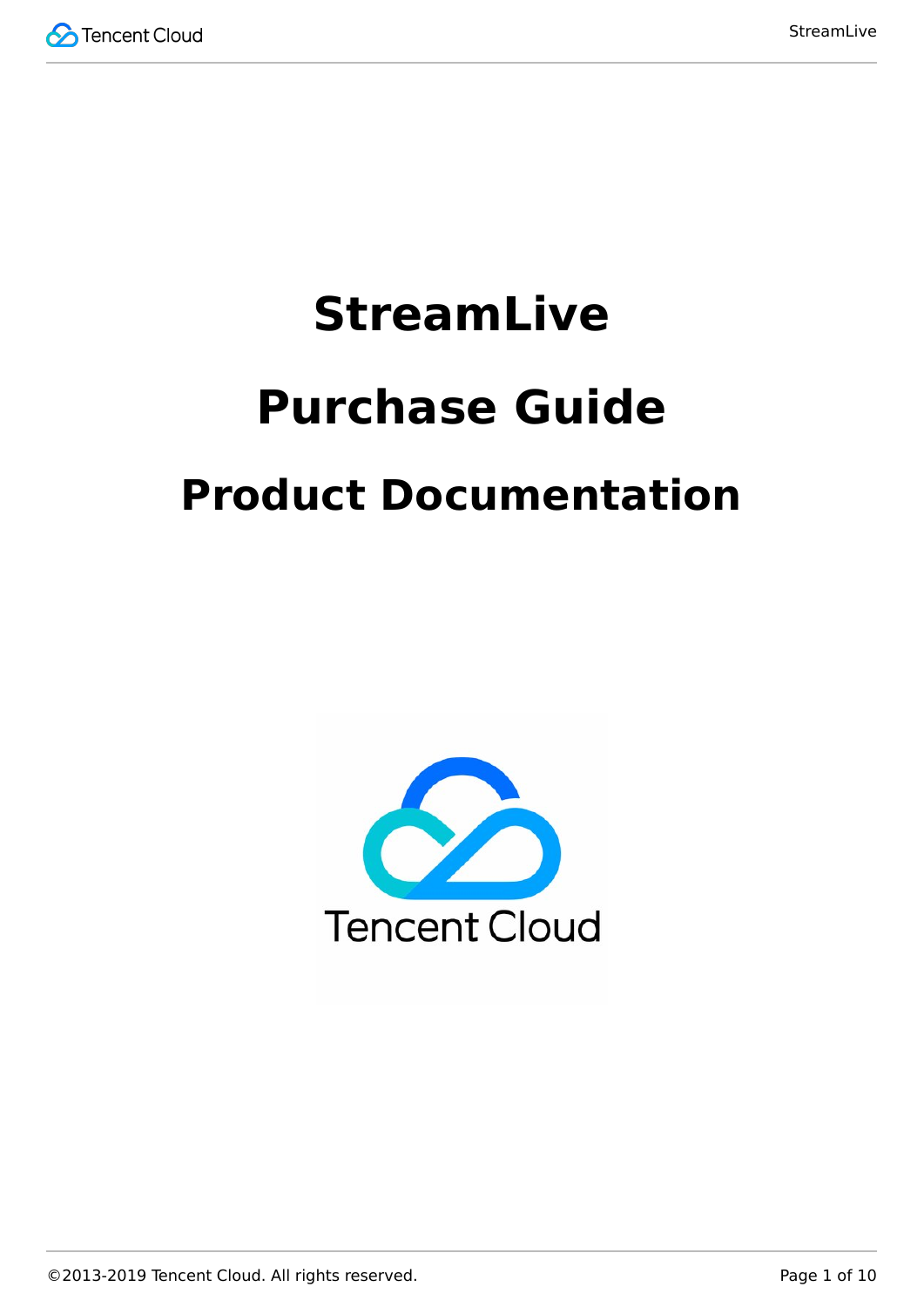

# **StreamLive Purchase Guide Product Documentation**

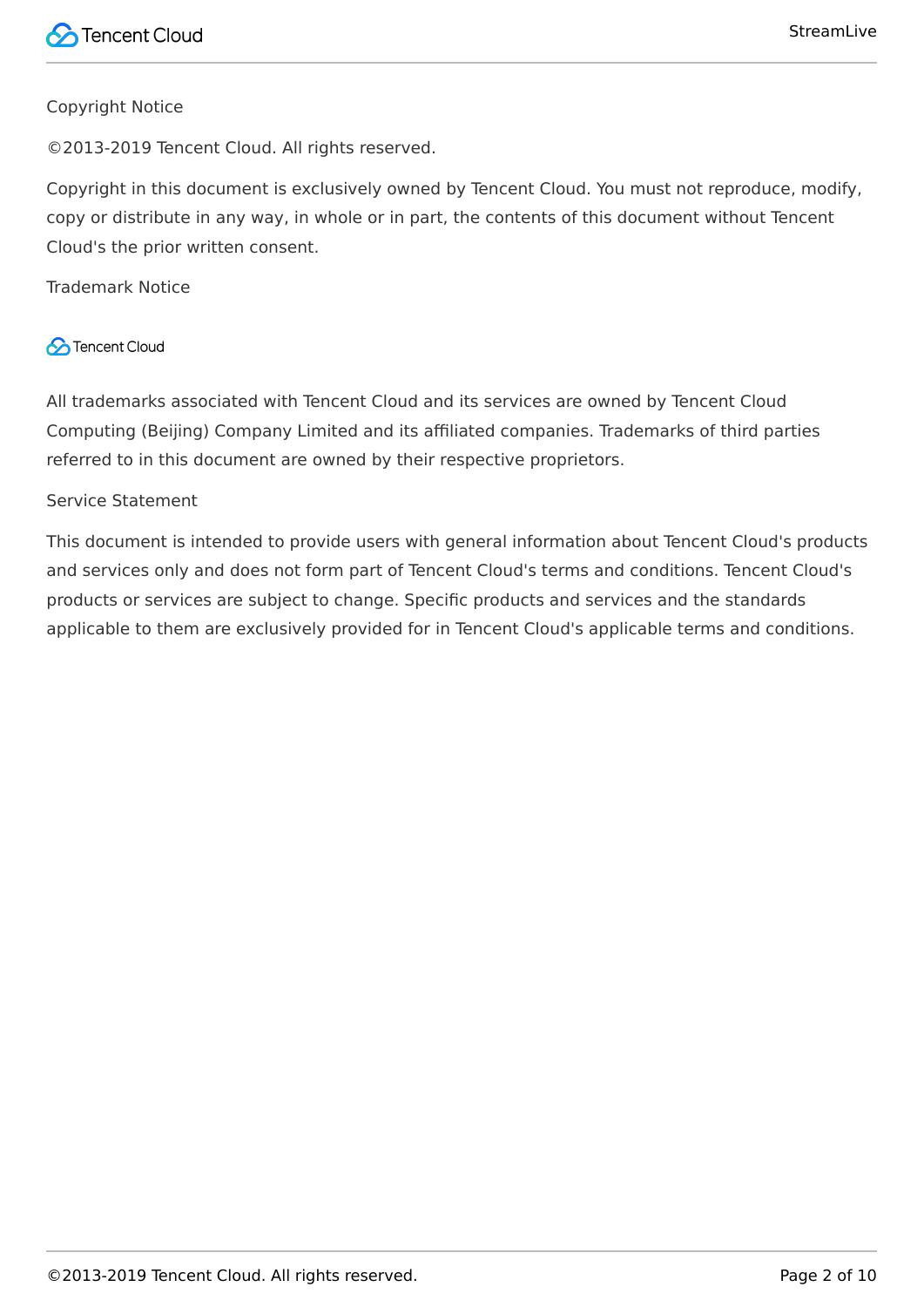#### Copyright Notice

©2013-2019 Tencent Cloud. All rights reserved.

Copyright in this document is exclusively owned by Tencent Cloud. You must not reproduce, modify, copy or distribute in any way, in whole or in part, the contents of this document without Tencent Cloud's the prior written consent.

Trademark Notice

#### **C** Tencent Cloud

All trademarks associated with Tencent Cloud and its services are owned by Tencent Cloud Computing (Beijing) Company Limited and its affiliated companies. Trademarks of third parties referred to in this document are owned by their respective proprietors.

#### Service Statement

This document is intended to provide users with general information about Tencent Cloud's products and services only and does not form part of Tencent Cloud's terms and conditions. Tencent Cloud's products or services are subject to change. Specific products and services and the standards applicable to them are exclusively provided for in Tencent Cloud's applicable terms and conditions.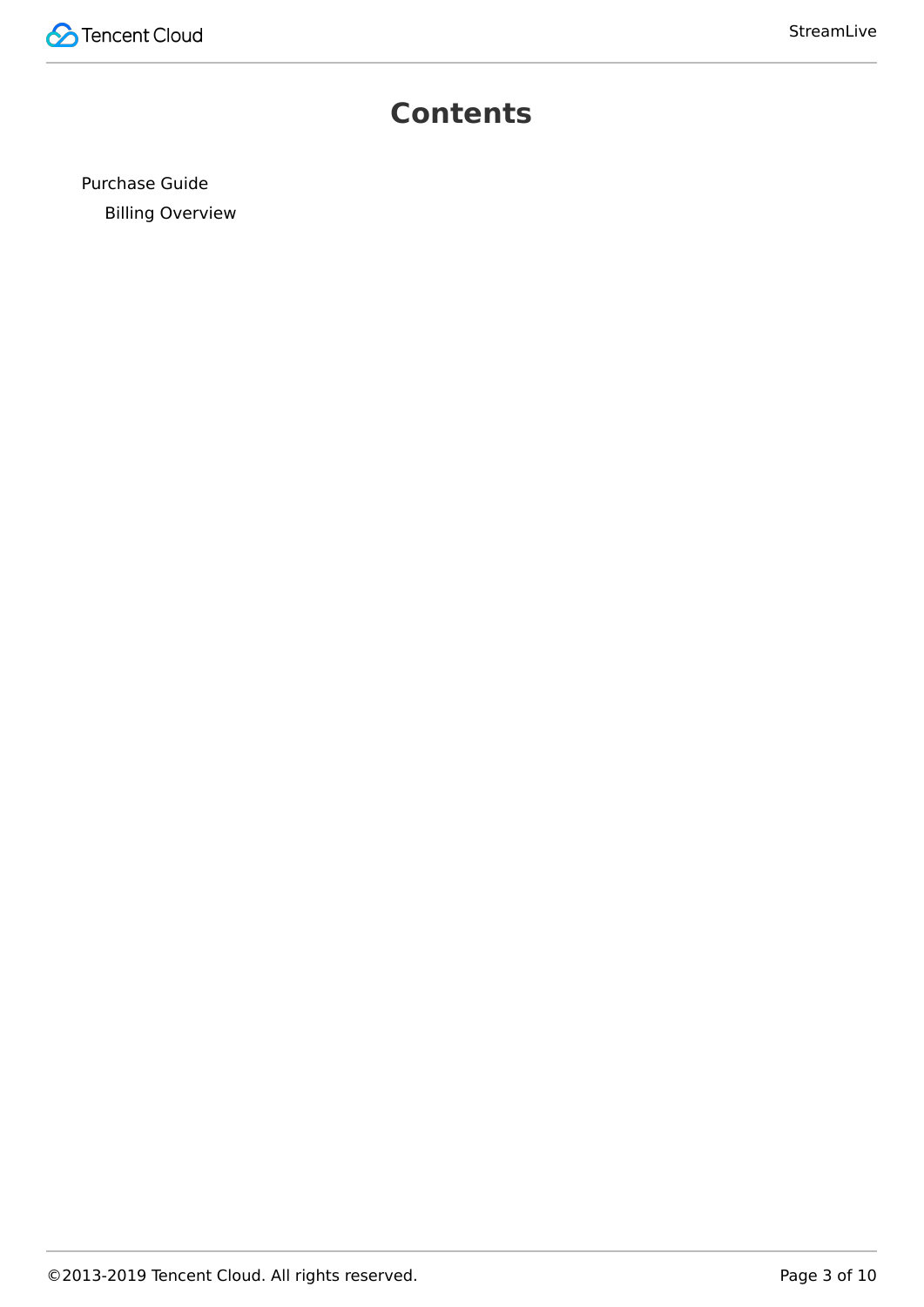

### **Contents**

[Purchase Guide](#page-3-0) [Billing Overview](#page-3-1)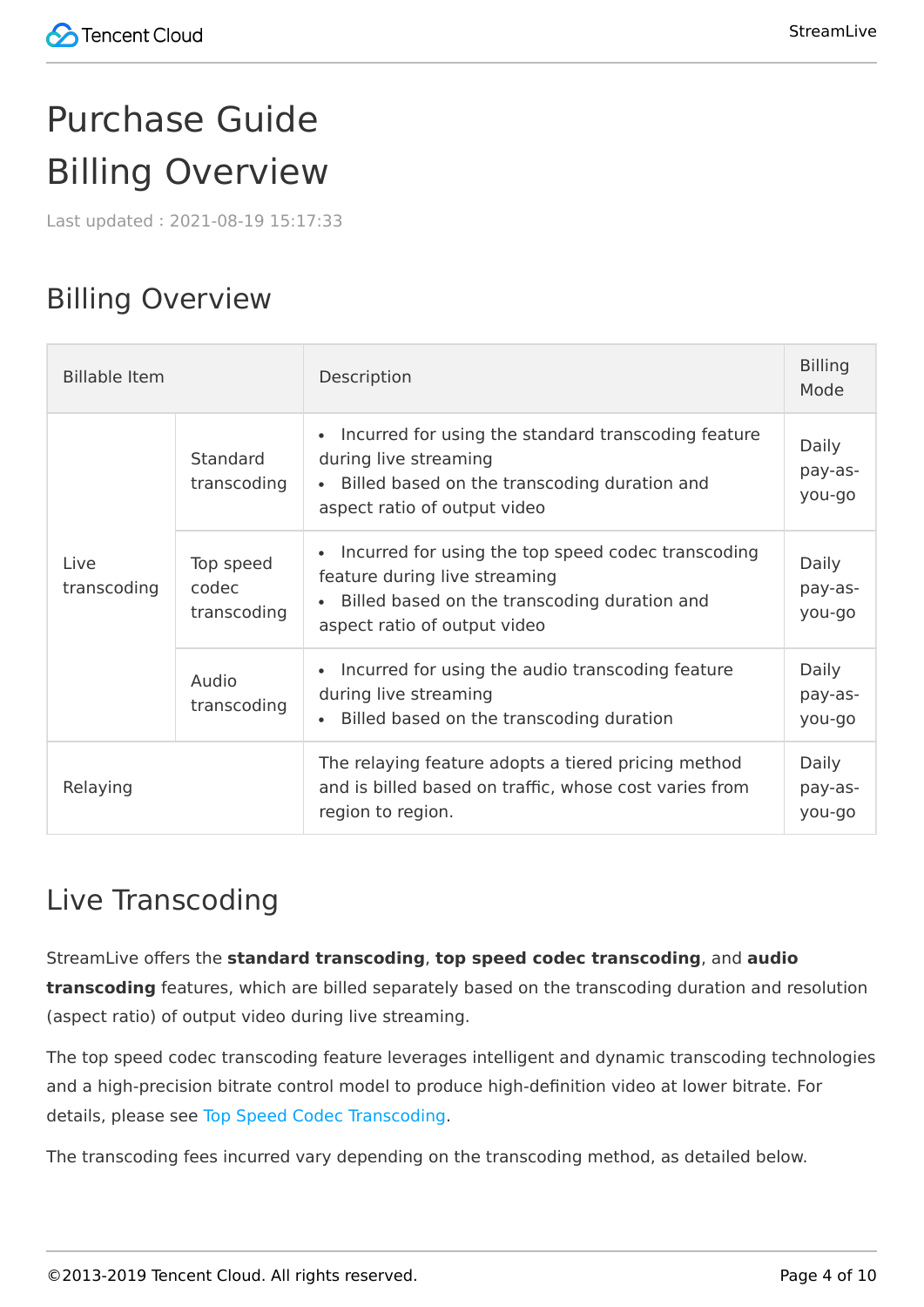# <span id="page-3-1"></span><span id="page-3-0"></span>Purchase Guide Billing Overview

Last updated:2021-08-19 15:17:33

# Billing Overview

| <b>Billable Item</b> |                                   | Description                                                                                                                                                         | <b>Billing</b><br>Mode     |
|----------------------|-----------------------------------|---------------------------------------------------------------------------------------------------------------------------------------------------------------------|----------------------------|
| Live<br>transcoding  | <b>Standard</b><br>transcoding    | Incurred for using the standard transcoding feature<br>during live streaming<br>• Billed based on the transcoding duration and<br>aspect ratio of output video      | Daily<br>pay-as-<br>you-go |
|                      | Top speed<br>codec<br>transcoding | Incurred for using the top speed codec transcoding<br>feature during live streaming<br>Billed based on the transcoding duration and<br>aspect ratio of output video |                            |
|                      | Audio<br>transcoding              | Incurred for using the audio transcoding feature<br>during live streaming<br>Billed based on the transcoding duration                                               | Daily<br>pay-as-<br>you-go |
| Relaying             |                                   | The relaying feature adopts a tiered pricing method<br>and is billed based on traffic, whose cost varies from<br>region to region.                                  | Daily<br>pay-as-<br>you-go |

# Live Transcoding

StreamLive offers the **standard transcoding**, **top speed codec transcoding**, and **audio transcoding** features, which are billed separately based on the transcoding duration and resolution (aspect ratio) of output video during live streaming.

The top speed codec transcoding feature leverages intelligent and dynamic transcoding technologies and a high-precision bitrate control model to produce high-definition video at lower bitrate. For details, please see [Top Speed Codec Transcoding](https://intl.cloud.tencent.com/document/product/267/39604##top-speed-codec-transcoding).

The transcoding fees incurred vary depending on the transcoding method, as detailed below.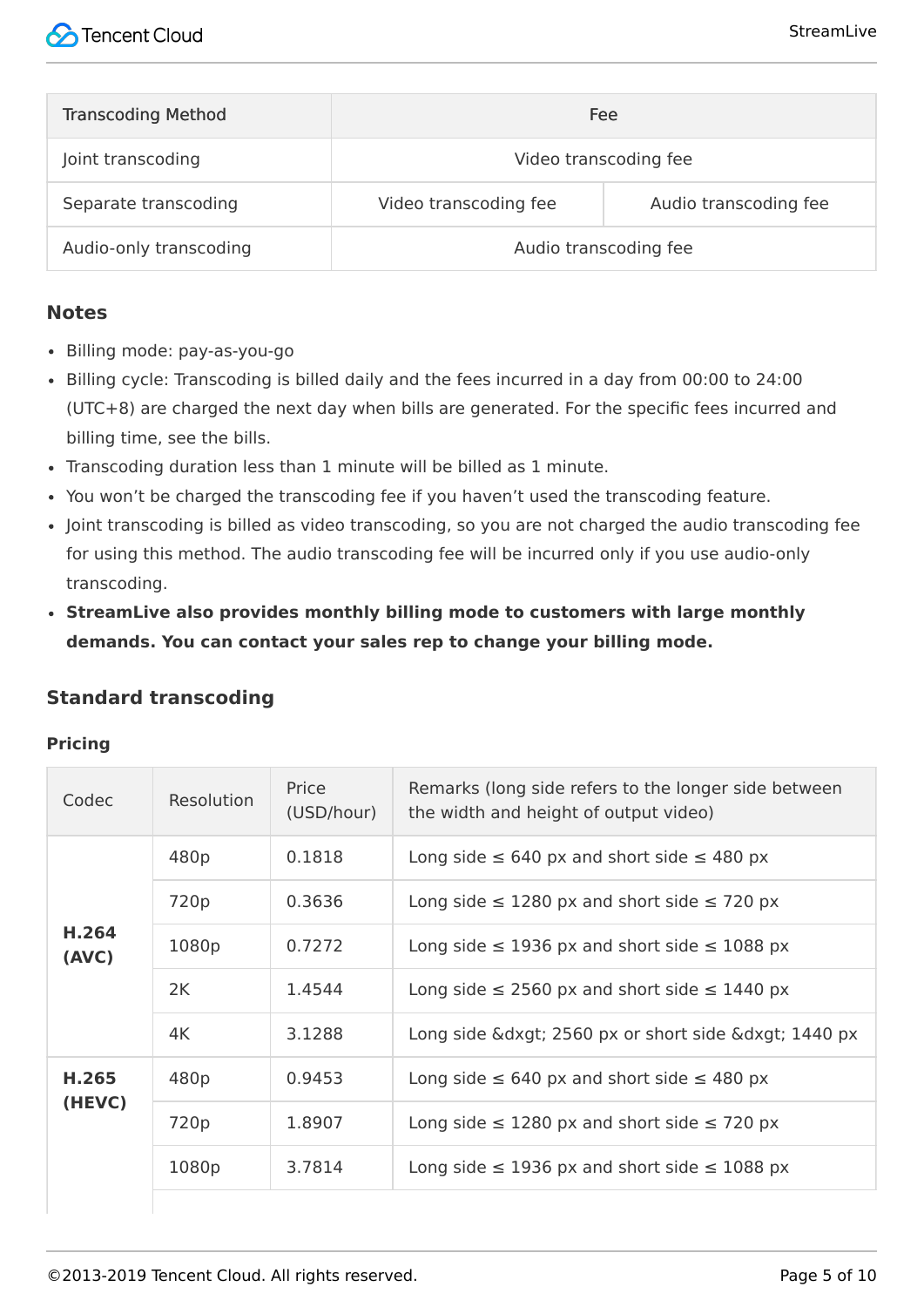| <b>Transcoding Method</b> | Fee                   |                       |
|---------------------------|-----------------------|-----------------------|
| Joint transcoding         | Video transcoding fee |                       |
| Separate transcoding      | Video transcoding fee | Audio transcoding fee |
| Audio-only transcoding    | Audio transcoding fee |                       |

#### **Notes**

- Billing mode: pay-as-you-go
- Billing cycle: Transcoding is billed daily and the fees incurred in a day from 00:00 to 24:00 (UTC+8) are charged the next day when bills are generated. For the specific fees incurred and billing time, see the bills.
- Transcoding duration less than 1 minute will be billed as 1 minute.
- You won't be charged the transcoding fee if you haven't used the transcoding feature.
- Joint transcoding is billed as video transcoding, so you are not charged the audio transcoding fee for using this method. The audio transcoding fee will be incurred only if you use audio-only transcoding.
- **StreamLive also provides monthly billing mode to customers with large monthly demands. You can contact your sales rep to change your billing mode.**

#### **Standard transcoding**

#### **Pricing**

| Codec          | Resolution | Price<br>(USD/hour) | Remarks (long side refers to the longer side between<br>the width and height of output video) |
|----------------|------------|---------------------|-----------------------------------------------------------------------------------------------|
|                | 480p       | 0.1818              | Long side $\leq 640$ px and short side $\leq 480$ px                                          |
|                | 720p       | 0.3636              | Long side $\leq$ 1280 px and short side $\leq$ 720 px                                         |
| H.264<br>(AVC) | 1080p      | 0.7272              | Long side $\leq$ 1936 px and short side $\leq$ 1088 px                                        |
|                | 2K         | 1.4544              | Long side $\leq$ 2560 px and short side $\leq$ 1440 px                                        |
|                | 4K         | 3.1288              | Long side &dxgt 2560 px or short side &dxgt 1440 px                                           |
| H.265          | 480p       | 0.9453              | Long side $\leq 640$ px and short side $\leq 480$ px                                          |
| (HEVC)         | 720p       | 1.8907              | Long side $\leq$ 1280 px and short side $\leq$ 720 px                                         |
|                | 1080p      | 3.7814              | Long side $\leq$ 1936 px and short side $\leq$ 1088 px                                        |
|                |            |                     |                                                                                               |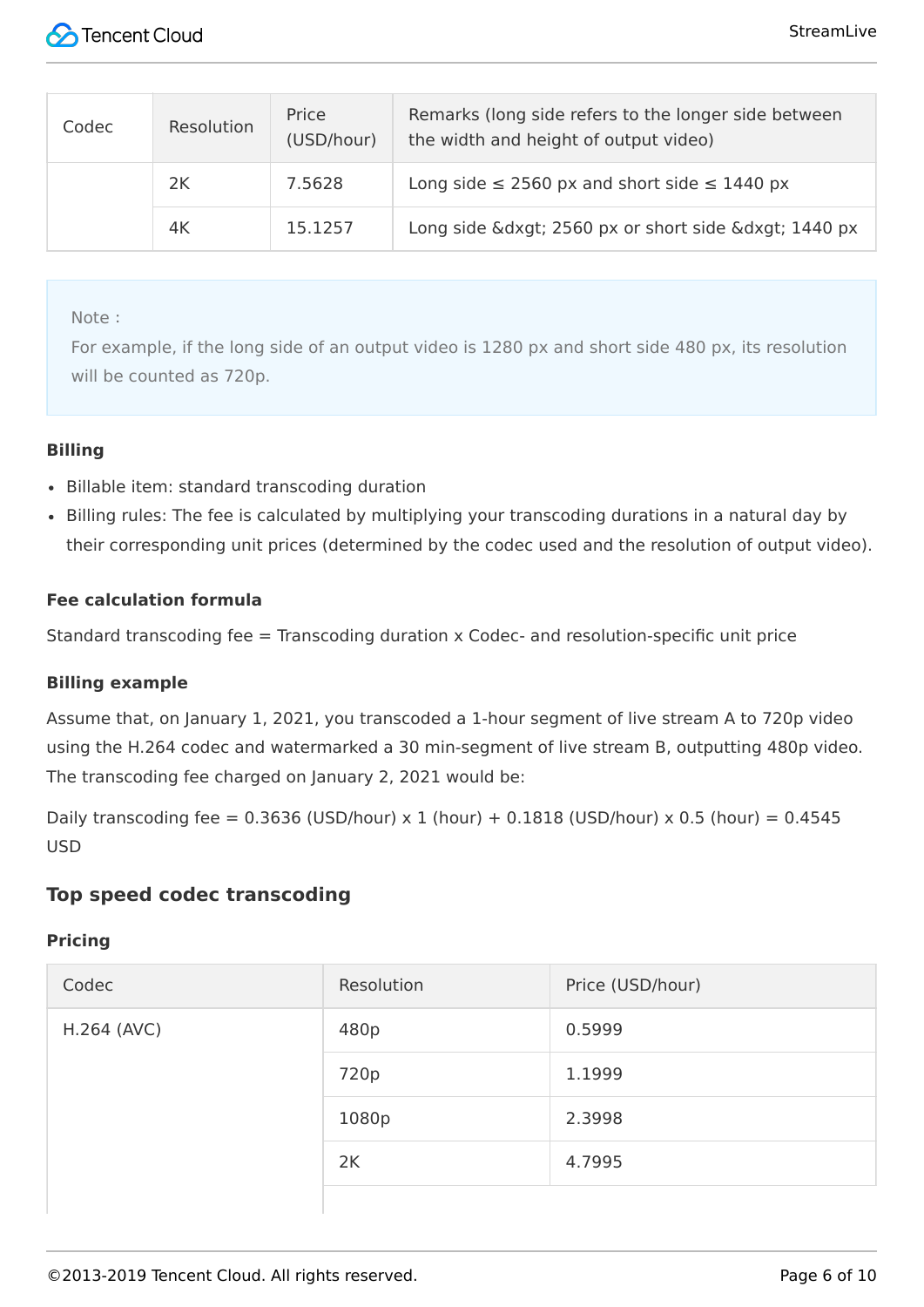

| Codec | Resolution | Price<br>(USD/hour) | Remarks (long side refers to the longer side between<br>the width and height of output video) |
|-------|------------|---------------------|-----------------------------------------------------------------------------------------------|
|       | 2K         | 7.5628              | Long side $\leq$ 2560 px and short side $\leq$ 1440 px                                        |
|       | 4K         | 15.1257             | Long side &dxgt 2560 px or short side &dxgt 1440 px                                           |

Note:

For example, if the long side of an output video is 1280 px and short side 480 px, its resolution will be counted as 720p.

#### **Billing**

- Billable item: standard transcoding duration
- Billing rules: The fee is calculated by multiplying your transcoding durations in a natural day by their corresponding unit prices (determined by the codec used and the resolution of output video).

#### **Fee calculation formula**

Standard transcoding fee = Transcoding duration x Codec- and resolution-specific unit price

#### **Billing example**

Assume that, on January 1, 2021, you transcoded a 1-hour segment of live stream A to 720p video using the H.264 codec and watermarked a 30 min-segment of live stream B, outputting 480p video. The transcoding fee charged on January 2, 2021 would be:

Daily transcoding fee =  $0.3636$  (USD/hour) x 1 (hour) +  $0.1818$  (USD/hour) x 0.5 (hour) =  $0.4545$ USD

#### **Top speed codec transcoding**

#### **Pricing**

| Codec       | Resolution | Price (USD/hour) |
|-------------|------------|------------------|
| H.264 (AVC) | 480p       | 0.5999           |
|             | 720p       | 1.1999           |
|             | 1080p      | 2.3998           |
|             | 2K         | 4.7995           |
|             |            |                  |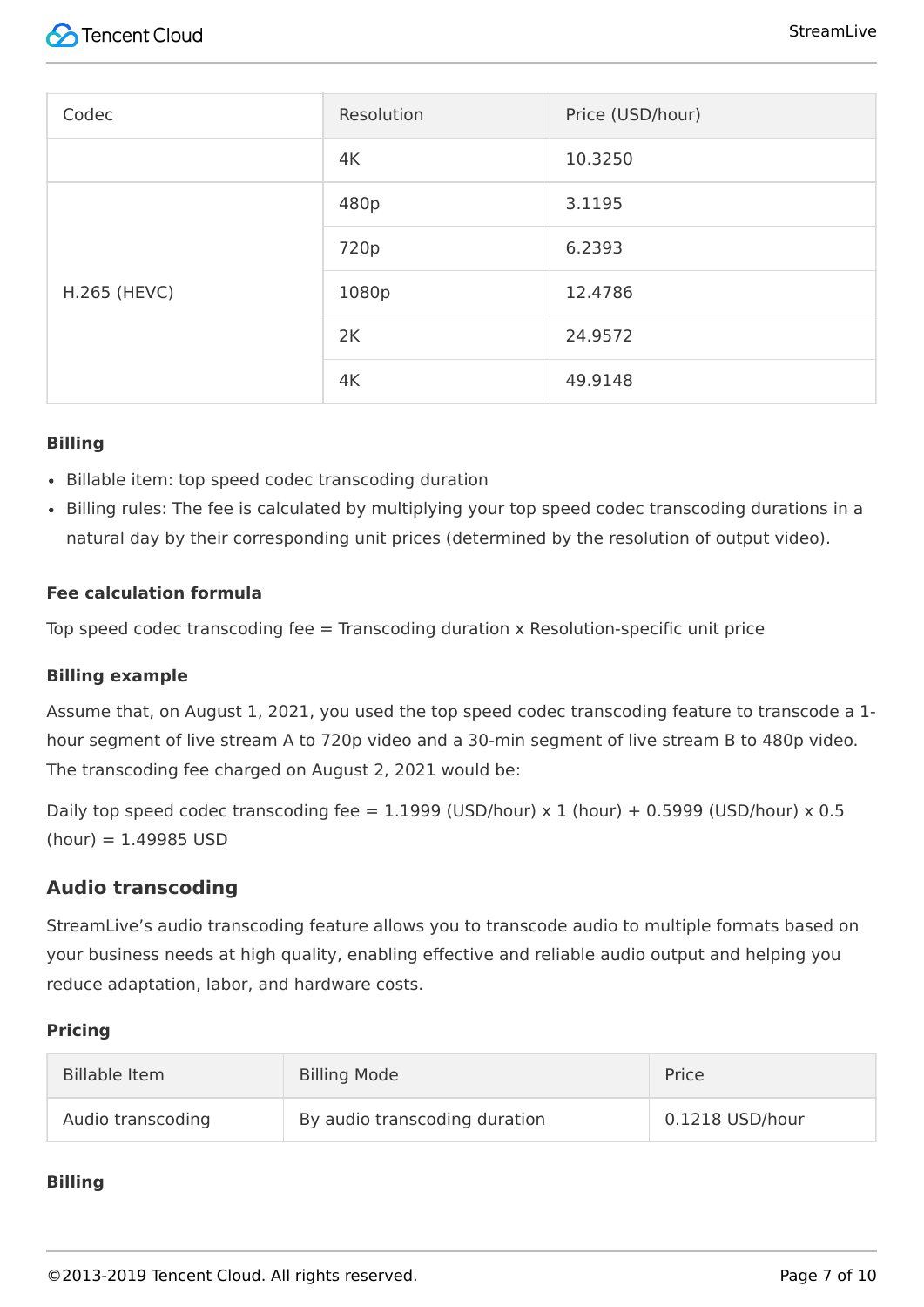| Codec               | Resolution | Price (USD/hour) |
|---------------------|------------|------------------|
|                     | 4K         | 10.3250          |
|                     | 480p       | 3.1195           |
|                     | 720p       | 6.2393           |
| <b>H.265 (HEVC)</b> | 1080p      | 12.4786          |
|                     | 2K         | 24.9572          |
|                     | 4K         | 49.9148          |

#### **Billing**

- Billable item: top speed codec transcoding duration
- Billing rules: The fee is calculated by multiplying your top speed codec transcoding durations in a natural day by their corresponding unit prices (determined by the resolution of output video).

#### **Fee calculation formula**

Top speed codec transcoding fee  $=$  Transcoding duration x Resolution-specific unit price

#### **Billing example**

Assume that, on August 1, 2021, you used the top speed codec transcoding feature to transcode a 1 hour segment of live stream A to 720p video and a 30-min segment of live stream B to 480p video. The transcoding fee charged on August 2, 2021 would be:

Daily top speed codec transcoding fee =  $1.1999$  (USD/hour) x 1 (hour) + 0.5999 (USD/hour) x 0.5  $(hour) = 1.49985$  USD

#### **Audio transcoding**

StreamLive's audio transcoding feature allows you to transcode audio to multiple formats based on your business needs at high quality, enabling effective and reliable audio output and helping you reduce adaptation, labor, and hardware costs.

#### **Pricing**

| Billable Item     | <b>Billing Mode</b>           | Price           |
|-------------------|-------------------------------|-----------------|
| Audio transcoding | By audio transcoding duration | 0.1218 USD/hour |

#### **Billing**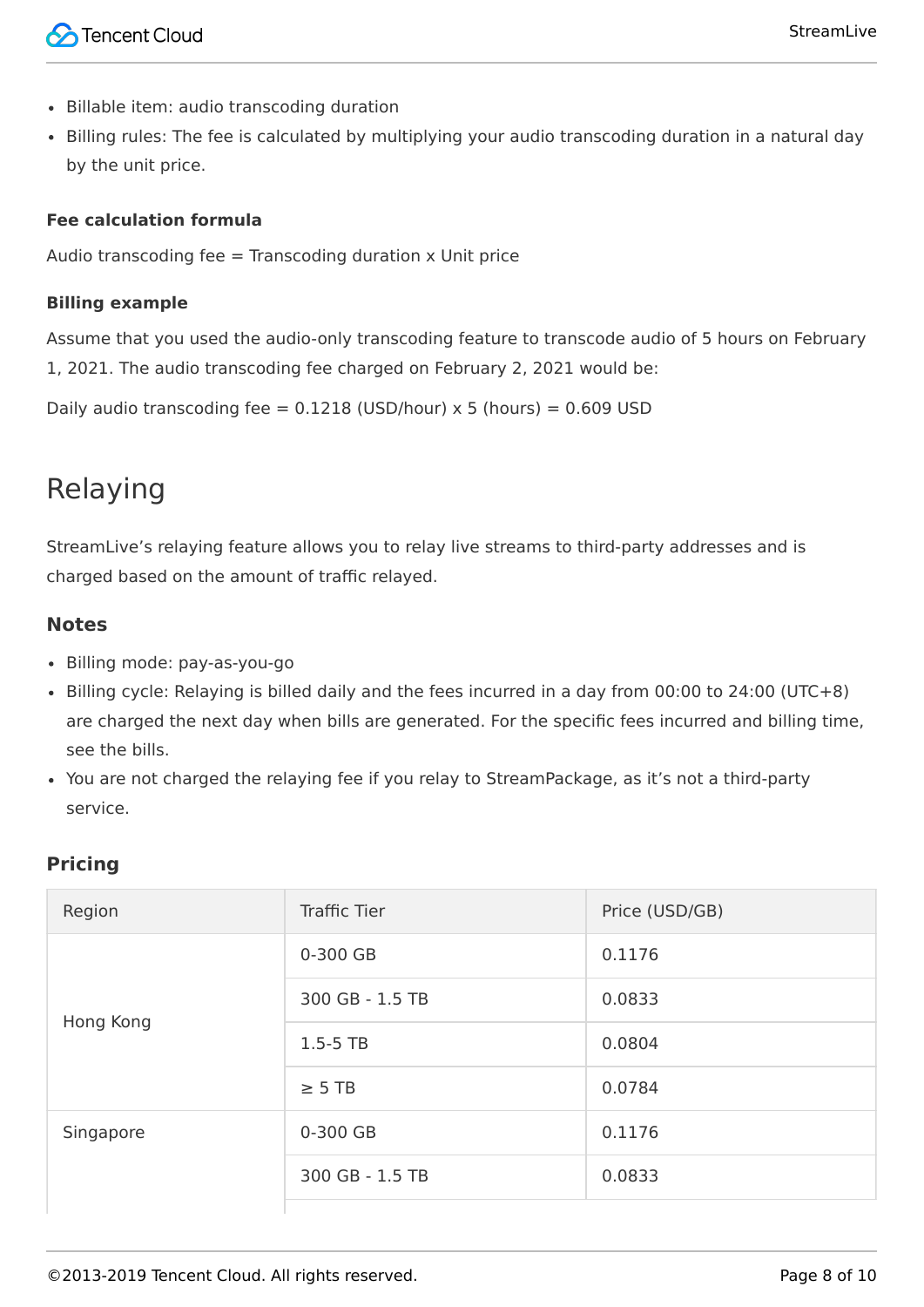- Billable item: audio transcoding duration
- Billing rules: The fee is calculated by multiplying your audio transcoding duration in a natural day by the unit price.

#### **Fee calculation formula**

Audio transcoding fee  $=$  Transcoding duration  $x$  Unit price

#### **Billing example**

Assume that you used the audio-only transcoding feature to transcode audio of 5 hours on February 1, 2021. The audio transcoding fee charged on February 2, 2021 would be:

Daily audio transcoding fee =  $0.1218$  (USD/hour) x 5 (hours) =  $0.609$  USD

# Relaying

StreamLive's relaying feature allows you to relay live streams to third-party addresses and is charged based on the amount of traffic relayed.

#### **Notes**

- Billing mode: pay-as-you-go
- Billing cycle: Relaying is billed daily and the fees incurred in a day from 00:00 to 24:00 (UTC+8) are charged the next day when bills are generated. For the specific fees incurred and billing time, see the bills.
- You are not charged the relaying fee if you relay to StreamPackage, as it's not a third-party service.

#### **Pricing**

| Region    | <b>Traffic Tier</b> | Price (USD/GB) |
|-----------|---------------------|----------------|
|           | 0-300 GB            | 0.1176         |
| Hong Kong | 300 GB - 1.5 TB     | 0.0833         |
|           | $1.5 - 5$ TB        | 0.0804         |
|           | $\geq$ 5 TB         | 0.0784         |
| Singapore | 0-300 GB            | 0.1176         |
|           | 300 GB - 1.5 TB     | 0.0833         |
|           |                     |                |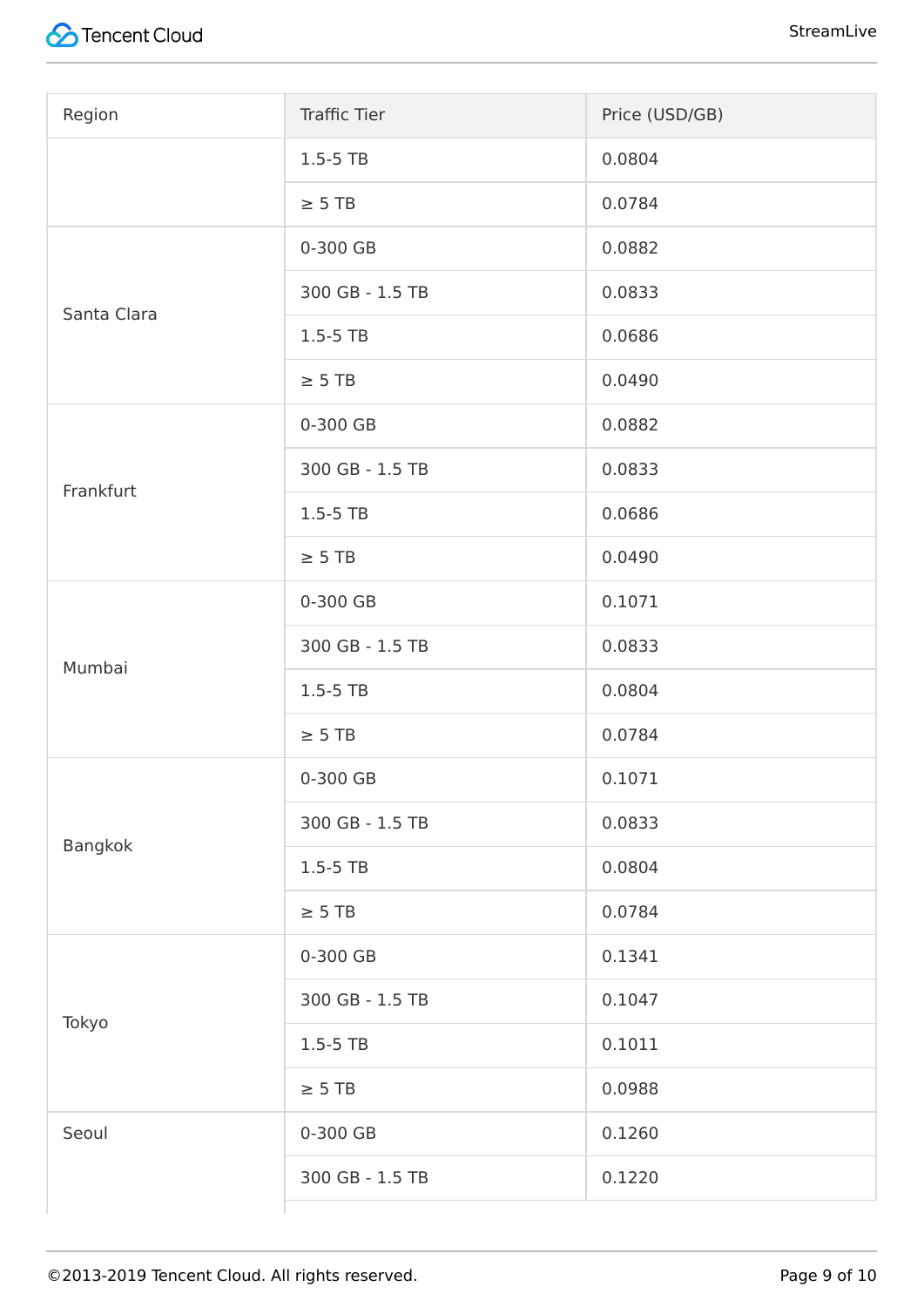

| Region      | <b>Traffic Tier</b> | Price (USD/GB) |
|-------------|---------------------|----------------|
|             | $1.5 - 5$ TB        | 0.0804         |
|             | $\geq$ 5 TB         | 0.0784         |
|             | 0-300 GB            | 0.0882         |
| Santa Clara | 300 GB - 1.5 TB     | 0.0833         |
|             | $1.5 - 5$ TB        | 0.0686         |
|             | $\geq$ 5 TB         | 0.0490         |
|             | 0-300 GB            | 0.0882         |
| Frankfurt   | 300 GB - 1.5 TB     | 0.0833         |
|             | $1.5 - 5$ TB        | 0.0686         |
|             | $\geq$ 5 TB         | 0.0490         |
|             | 0-300 GB            | 0.1071         |
| Mumbai      | 300 GB - 1.5 TB     | 0.0833         |
|             | $1.5 - 5$ TB        | 0.0804         |
|             | $\geq$ 5 TB         | 0.0784         |
|             | 0-300 GB            | 0.1071         |
| Bangkok     | 300 GB - 1.5 TB     | 0.0833         |
|             | $1.5 - 5$ TB        | 0.0804         |
|             | $\geq$ 5 TB         | 0.0784         |
|             | 0-300 GB            | 0.1341         |
| Tokyo       | 300 GB - 1.5 TB     | 0.1047         |
|             | $1.5 - 5$ TB        | 0.1011         |
|             | $\geq$ 5 TB         | 0.0988         |
| Seoul       | 0-300 GB            | 0.1260         |
|             | 300 GB - 1.5 TB     | 0.1220         |